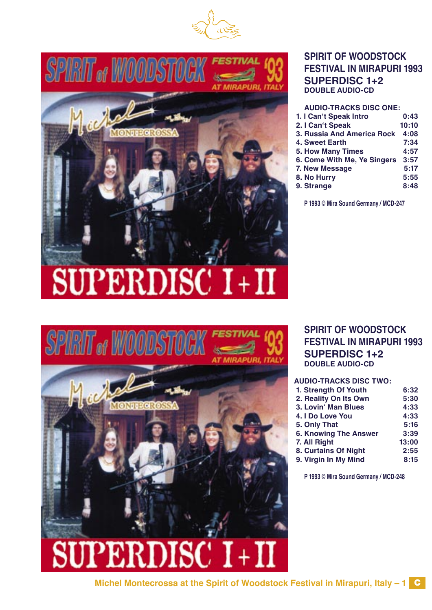



# **SPIRIT OF WOODSTOCK FESTIVAL IN MIRAPURI 1993 SUPERDISC 1+2 DOUBLE AUDIO-CD**

**AUDIO-TRACKS DISC ONE:**

| 1. I Can't Speak Intro      | 0:43  |
|-----------------------------|-------|
| 2. I Can't Speak            | 10:10 |
| 3. Russia And America Rock  | 4:08  |
| <b>4. Sweet Earth</b>       | 7:34  |
| <b>5. How Many Times</b>    | 4:57  |
| 6. Come With Me, Ye Singers | 3:57  |
| 7. New Message              | 5:17  |
| 8. No Hurry                 | 5:55  |
| 9. Strange                  | 8:48  |

**P 1993 © Mira Sound Germany / MCD-247**

# SUPERDISC I+II



#### **SPIRIT OF WOODSTOCK FESTIVAL IN MIRAPURI 1993 SUPERDISC 1+2 DOUBLE AUDIO-CD**

#### **AUDIO-TRACKS DISC TWO:**

| 1. Strength Of Youth         | 6:32  |
|------------------------------|-------|
| 2. Reality On Its Own        | 5:30  |
| 3. Lovin' Man Blues          | 4:33  |
| 4. I Do Love You             | 4:33  |
| 5. Only That                 | 5:16  |
| <b>6. Knowing The Answer</b> | 3:39  |
| 7. All Right                 | 13:00 |
| 8. Curtains Of Night         | 2:55  |
| 9. Virgin In My Mind         | 8:15  |
|                              |       |

**P 1993 © Mira Sound Germany / MCD-248**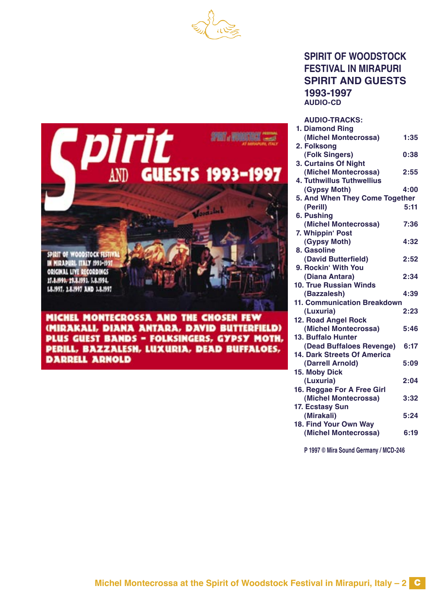



#### **SPIRIT OF WOODSTOCK FESTIVAL IN MIRAPURI SPIRIT AND GUESTS 1993-1997 AUDIO-CD**

**AUDIO-TRACKS:**

| 1. Diamond Ring                |      |
|--------------------------------|------|
| (Michel Montecrossa)           | 1:35 |
| 2. Folksong                    |      |
| (Folk Singers)                 | 0:38 |
| 3. Curtains Of Night           |      |
| (Michel Montecrossa)           | 2:55 |
| 4. Tuthwillus Tuthwellius      |      |
| (Gypsy Moth)                   | 4:00 |
| 5. And When They Come Together |      |
| (Perill)                       | 5:11 |
| 6. Pushing                     |      |
| (Michel Montecrossa)           | 7:36 |
| 7. Whippin' Post               |      |
| (Gypsy Moth)                   | 4:32 |
| 8. Gasoline                    |      |
| (David Butterfield)            | 2:52 |
| 9. Rockin' With You            |      |
| (Diana Antara)                 | 2:34 |
| <b>10. True Russian Winds</b>  |      |
| (Bazzalesh)                    | 4:39 |
| 11. Communication Breakdown    |      |
| (Luxuria)                      | 2:23 |
| 12. Road Angel Rock            |      |
| (Michel Montecrossa)           | 5:46 |
| 13. Buffalo Hunter             |      |
| (Dead Buffaloes Revenge)       | 6:17 |
| 14. Dark Streets Of America    |      |
| (Darrell Arnold)               | 5:09 |
| 15. Moby Dick                  |      |
| (Luxuria)                      | 2:04 |
| 16. Reggae For A Free Girl     |      |
| (Michel Montecrossa)           | 3:32 |
| 17. Ecstasy Sun                |      |
| (Mirakali)                     | 5:24 |
| 18. Find Your Own Way          |      |
| (Michel Montecrossa)           | 6:19 |

**P 1997 © Mira Sound Germany / MCD-246**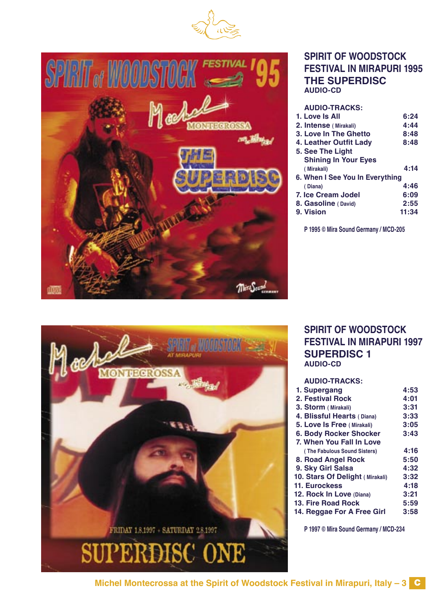



# **SPIRIT OF WOODSTOCK FESTIVAL IN MIRAPURI 1995 THE SUPERDISC AUDIO-CD**

| <b>AUDIO-TRACKS:</b>            |       |
|---------------------------------|-------|
| 1. Love Is All                  | 6:24  |
| 2. Intense (Mirakali)           | 4:44  |
| 3. Love In The Ghetto           | 8:48  |
| 4. Leather Outfit Lady          | 8:48  |
| 5. See The Light                |       |
| <b>Shining In Your Eyes</b>     |       |
| (Mirakali)                      | 4:14  |
| 6. When I See You In Everything |       |
| (Diana)                         | 4:46  |
| 7. Ice Cream Jodel              | 6:09  |
| 8. Gasoline (David)             | 2:55  |
| 9. Vision                       | 11:34 |
|                                 |       |

**P 1995 © Mira Sound Germany / MCD-205**



# **SPIRIT OF WOODSTOCK FESTIVAL IN MIRAPURI 1997 SUPERDISC 1 AUDIO-CD**

| <b>AUDIO-TRACKS:</b>            |      |
|---------------------------------|------|
| 1. Supergang                    | 4:53 |
| 2. Festival Rock                | 4:01 |
| 3. Storm (Mirakali)             | 3:31 |
| 4. Blissful Hearts (Diana)      | 3:33 |
| 5. Love Is Free (Mirakali)      | 3:05 |
| <b>6. Body Rocker Shocker</b>   | 3:43 |
| 7. When You Fall In Love        |      |
| (The Fabulous Sound Sisters)    | 4:16 |
| 8. Road Angel Rock              | 5:50 |
| 9. Sky Girl Salsa               | 4:32 |
| 10. Stars Of Delight (Mirakali) | 3:32 |
| 11. Eurockess                   | 4:18 |
| 12. Rock In Love (Diana)        | 3:21 |
| 13. Fire Road Rock              | 5:59 |
| 14. Reggae For A Free Girl      | 3:58 |
|                                 |      |
|                                 |      |

**P 1997 © Mira Sound Germany / MCD-234**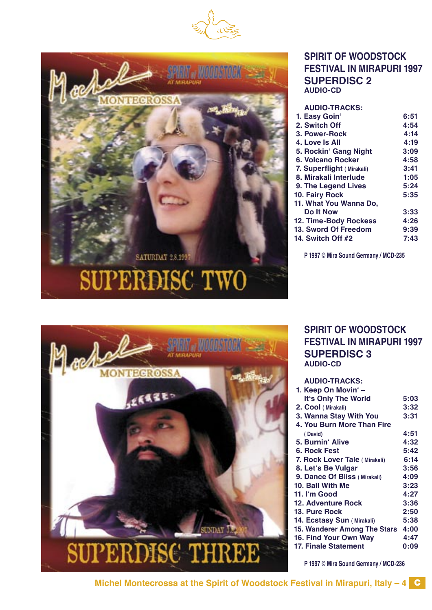



# **SPIRIT OF WOODSTOCK FESTIVAL IN MIRAPURI 1997 SUPERDISC 2 AUDIO-CD**

| <b>AUDIO-TRACKS:</b>      |      |
|---------------------------|------|
| 1. Easy Goin'             | 6:51 |
| 2. Switch Off             | 4:54 |
| 3. Power-Rock             | 4:14 |
| 4. Love Is All            | 4:19 |
| 5. Rockin' Gang Night     | 3:09 |
| 6. Volcano Rocker         | 4:58 |
| 7. Superflight (Mirakali) | 3:41 |
| 8. Mirakali Interlude     | 1:05 |
| 9. The Legend Lives       | 5:24 |
| 10. Fairy Rock            | 5:35 |
| 11. What You Wanna Do,    |      |
| Do It Now                 | 3:33 |
| 12. Time-Body Rockess     | 4:26 |
| 13. Sword Of Freedom      | 9:39 |
| 14. Switch Off #2         | 7:43 |
|                           |      |

**P 1997 © Mira Sound Germany / MCD-235**



# **SPIRIT OF WOODSTOCK FESTIVAL IN MIRAPURI 1997 SUPERDISC 3 AUDIO-CD**

| <b>AUDIO-TRACKS:</b>          |      |
|-------------------------------|------|
| 1. Keep On Movin' -           |      |
| It's Only The World           | 5:03 |
| 2. Cool (Mirakali)            | 3:32 |
| 3. Wanna Stay With You        | 3:31 |
| 4. You Burn More Than Fire    |      |
| (David)                       | 4:51 |
| 5. Burnin' Alive              | 4:32 |
| 6. Rock Fest                  | 5:42 |
| 7. Rock Lover Tale (Mirakali) | 6:14 |
| 8. Let's Be Vulgar            | 3:56 |
| 9. Dance Of Bliss (Mirakali)  | 4:09 |
| 10. Ball With Me              | 3:23 |
| 11. I'm Good                  | 4:27 |
| 12. Adventure Rock            | 3:36 |
| 13. Pure Rock                 | 2:50 |
| 14. Ecstasy Sun (Mirakali)    | 5:38 |
| 15. Wanderer Among The Stars  | 4:00 |
| 16. Find Your Own Way         | 4:47 |
| <b>17. Finale Statement</b>   | 0:09 |
|                               |      |

**P 1997 © Mira Sound Germany / MCD-236**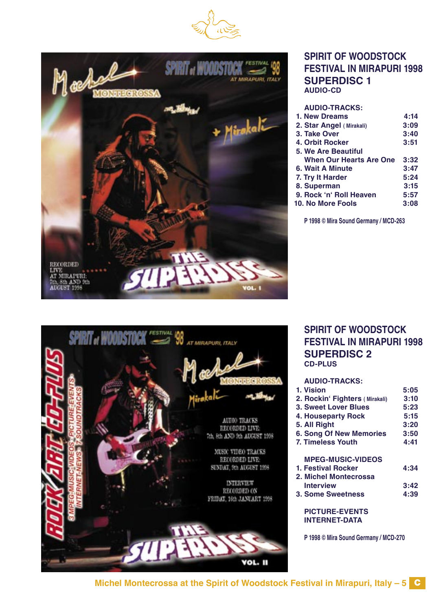



#### **SPIRIT OF WOODSTOCK FESTIVAL IN MIRAPURI 1998 SUPERDISC 1 AUDIO-CD**

| <b>AUDIO-TRACKS:</b>           |      |
|--------------------------------|------|
| 1. New Dreams                  | 4:14 |
| 2. Star Angel (Mirakali)       | 3:09 |
| 3. Take Over                   | 3:40 |
| 4. Orbit Rocker                | 3:51 |
| <b>5. We Are Beautiful</b>     |      |
| <b>When Our Hearts Are One</b> | 3:32 |
| 6. Wait A Minute               | 3:47 |
| 7. Try It Harder               | 5:24 |
| 8. Superman                    | 3:15 |
| 9. Rock 'n' Roll Heaven        | 5:57 |
| 10. No More Fools              | 3:08 |
|                                |      |

**P 1998 © Mira Sound Germany / MCD-263**



# **SPIRIT OF WOODSTOCK FESTIVAL IN MIRAPURI 1998 SUPERDISC 2 CD-PLUS**

| <b>AUDIO-TRACKS:</b>           |      |
|--------------------------------|------|
| 1. Vision                      | 5:05 |
| 2. Rockin' Fighters (Mirakali) | 3:10 |
| <b>3. Sweet Lover Blues</b>    | 5:23 |
| 4. Houseparty Rock             | 5:15 |
| 5. All Right                   | 3:20 |
| <b>6. Song Of New Memories</b> | 3:50 |
| <b>7. Timeless Youth</b>       | 4:41 |
|                                |      |
| <b>MPEG-MUSIC-VIDEOS</b>       |      |
| 1. Festival Rocker             | 4:34 |
| 2. Michel Montecrossa          |      |
| <b>Interview</b>               | 3:42 |
| <b>3. Some Sweetness</b>       | 4:39 |
|                                |      |
| <b>PICTURE-EVENTS</b>          |      |
|                                |      |
| <b>INTERNET-DATA</b>           |      |

**P 1998 © Mira Sound Germany / MCD-270**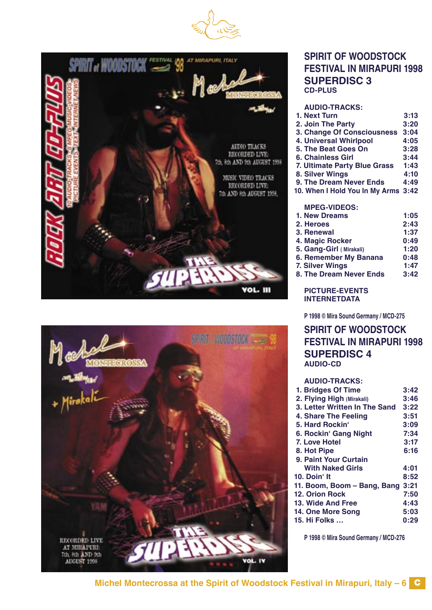





#### **SPIRIT OF WOODSTOCK FESTIVAL IN MIRAPURI 1998 SUPERDISC 3 CD-PLUS**

**AUDIO-TRACKS: 1. Next Turn**<br> **1. Next Turn**<br> **2. Join The Party 3:20 2. Join The Party 3. Change Of Consciousness 3:04 4. Universal Whirlpool 4:05 5. The Beat Goes On 3:28 6. Chainless Girl 3:44 7. Ultimate Party Blue Grass 1:43** 8. Silver Wings **4:10**<br>
9. The Dream Never Ends 4:49

**9. The Dream Never Ends 10. When I Hold You In My Arms 3:42**

#### **MPEG-VIDEOS:**

 **1. New Dreams 1:05 2. Heroes 2:43 3. Renewal 1:37 4. Magic Rocker 0:49 5. Gang-Girl ( Mirakali) 1:20 6. Remember My Banana 0:48 7. Silver Wings 1:47 8. The Dream Never Ends 3:42**

#### **PICTURE-EVENTS INTERNETDATA**

**P 1998 © Mira Sound Germany / MCD-275**

# **SPIRIT OF WOODSTOCK FESTIVAL IN MIRAPURI 1998 SUPERDISC 4 AUDIO-CD**

| <b>AUDIO-TRACKS:</b>               |      |
|------------------------------------|------|
| 1. Bridges Of Time                 | 3:42 |
| 2. Flying High (Mirakali)          | 3:46 |
| 3. Letter Written In The Sand 3:22 |      |
| 4. Share The Feeling               | 3:51 |
| 5. Hard Rockin'                    | 3:09 |
| 6. Rockin' Gang Night              | 7:34 |
| 7. Love Hotel                      | 3:17 |
| 8. Hot Pipe                        | 6:16 |
| 9. Paint Your Curtain              |      |
| <b>With Naked Girls</b>            | 4:01 |
| 10. Doin' It                       | 8:52 |
| 11. Boom, Boom – Bang, Bang        | 3:21 |
| <b>12. Orion Rock</b>              | 7:50 |
| 13. Wide And Free                  | 4:43 |
| 14. One More Song                  | 5:03 |
| <b>15. Hi Folks </b>               | 0:29 |
|                                    |      |

**P 1998 © Mira Sound Germany / MCD-276**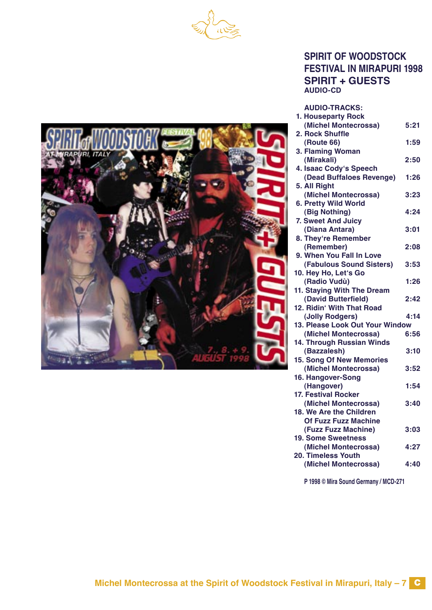



# **SPIRIT OF WOODSTOCK FESTIVAL IN MIRAPURI 1998 SPIRIT + GUESTS AUDIO-CD**

**AUDIO-TRACKS:**

| 1. Houseparty Rock              |      |
|---------------------------------|------|
| (Michel Montecrossa)            | 5:21 |
| 2. Rock Shuffle                 |      |
| <b>(Route 66)</b>               | 1:59 |
| 3. Flaming Woman                |      |
| (Mirakali)                      | 2:50 |
| 4. Isaac Cody's Speech          |      |
| (Dead Buffaloes Revenge)        | 1:26 |
| 5. All Right                    |      |
| (Michel Montecrossa)            | 3:23 |
| 6. Pretty Wild World            |      |
| (Big Nothing)                   | 4:24 |
| 7. Sweet And Juicy              |      |
| (Diana Antara)                  | 3:01 |
| 8. They're Remember             |      |
| (Remember)                      | 2:08 |
| 9. When You Fall In Love        |      |
| (Fabulous Sound Sisters)        | 3:53 |
| 10. Hey Ho, Let's Go            |      |
| (Radio Vudù)                    | 1:26 |
| 11. Staying With The Dream      |      |
| (David Butterfield)             | 2:42 |
| 12. Ridin' With That Road       |      |
| (Jolly Rodgers)                 | 4:14 |
| 13. Please Look Out Your Window |      |
| (Michel Montecrossa)            | 6:56 |
| 14. Through Russian Winds       |      |
| (Bazzalesh)                     | 3:10 |
| <b>15. Song Of New Memories</b> |      |
| (Michel Montecrossa)            | 3:52 |
| 16. Hangover-Song               |      |
| (Hangover)                      | 1:54 |
| 17. Festival Rocker             |      |
| (Michel Montecrossa)            | 3:40 |
| 18. We Are the Children         |      |
| <b>Of Fuzz Fuzz Machine</b>     |      |
| (Fuzz Fuzz Machine)             | 3:03 |
| <b>19. Some Sweetness</b>       |      |
| (Michel Montecrossa)            | 4:27 |
| 20. Timeless Youth              |      |
| (Michel Montecrossa)            | 4:40 |
|                                 |      |

**P 1998 © Mira Sound Germany / MCD-271**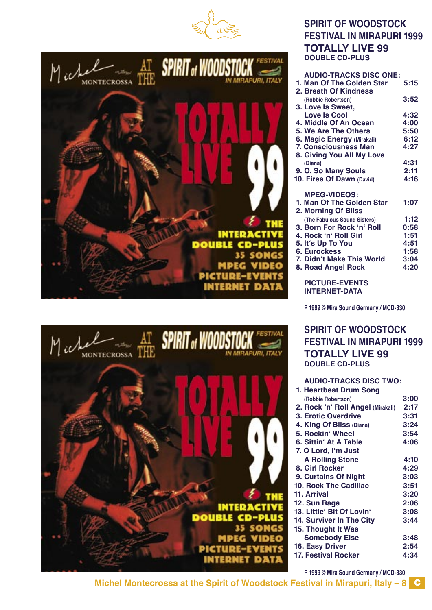





| <b>AUDIO-TRACKS DISC ONE:</b> |      |
|-------------------------------|------|
| 1. Man Of The Golden Star     | 5:15 |
| 2. Breath Of Kindness         |      |
| (Robbie Robertson)            | 3:52 |
| 3. Love Is Sweet,             |      |
| Love Is Cool                  | 4:32 |
| 4. Middle Of An Ocean         | 4:00 |
| 5. We Are The Others          | 5:50 |
| 6. Magic Energy (Mirakali)    | 6:12 |
| <b>7. Consciousness Man</b>   | 4:27 |
| 8. Giving You All My Love     |      |
| (Diana)                       | 4:31 |
| 9. O, So Many Souls           | 2:11 |
| 10. Fires Of Dawn (David)     | 4:16 |
|                               |      |
| <b>MPEG-VIDEOS:</b>           |      |
| 1. Man Of The Golden Star     | 1:07 |
| 2. Morning Of Bliss           |      |
| (The Fabulous Sound Sisters)  | 1:12 |
| 3. Born For Rock 'n' Roll     | 0:58 |
| 4. Rock 'n' Roll Girl         | 1:51 |
| 5. It's Up To You             | 4:51 |
| <b>6. Eurockess</b>           | 1:58 |
|                               |      |
| 7. Didn't Make This World     | 3:04 |
| 8. Road Angel Rock            | 4:20 |
|                               |      |
| <b>PICTURE-EVENTS</b>         |      |

**P 1999 © Mira Sound Germany / MCD-330**

### **SPIRIT OF WOODSTOCK FESTIVAL IN MIRAPURI 1999 TOTALLY LIVE 99 DOUBLE CD-PLUS**

| <b>AUDIO-TRACKS DISC TWO:</b>     |      |
|-----------------------------------|------|
| 1. Heartbeat Drum Song            |      |
| (Robbie Robertson)                | 3:00 |
| 2. Rock 'n' Roll Angel (Mirakali) | 2:17 |
| 3. Erotic Overdrive               | 3:31 |
| 4. King Of Bliss (Diana)          | 3:24 |
| 5. Rockin' Wheel                  | 3:54 |
| 6. Sittin' At A Table             | 4:06 |
| 7. O Lord, I'm Just               |      |
| <b>A Rolling Stone</b>            | 4:10 |
| 8. Girl Rocker                    | 4:29 |
| 9. Curtains Of Night              | 3:03 |
| <b>10. Rock The Cadillac</b>      | 3:51 |
| 11. Arrival                       | 3:20 |
| 12. Sun Raga                      | 2:06 |
| 13. Little' Bit Of Lovin'         | 3:08 |
| 14. Surviver In The City          | 3:44 |
| 15. Thought It Was                |      |
| <b>Somebody Else</b>              | 3:48 |
| 16. Easy Driver                   | 2:54 |
| <b>17. Festival Rocker</b>        | 4:34 |
|                                   |      |

**P 1999 © Mira Sound Germany / MCD-330**



**INTERACTIV DOUBLE** MPEG **PICTURE-INTERNET** 

**Michel Montecrossa at the Spirit of Woodstock Festival in Mirapuri, Italy – 8** C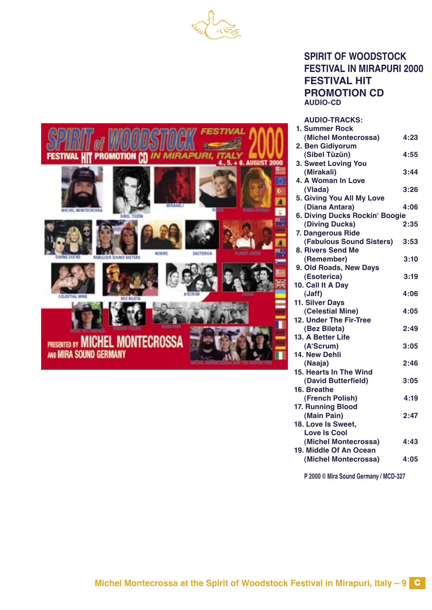



# **SPIRIT OF WOODSTOCK FESTIVAL IN MIRAPURI 2000 FESTIVAL HIT PROMOTION CD AUDIO-CD**

**AUDIO-TRACKS:**

| 1. Summer Rock                 |      |
|--------------------------------|------|
| (Michel Montecrossa)           | 4:23 |
| 2. Ben Gidiyorum               |      |
| (Sibel Tüzün)                  | 4:55 |
| 3. Sweet Loving You            |      |
| (Mirakali)                     | 3:44 |
| 4. A Woman In Love             |      |
| (Vlada)                        | 3:26 |
| 5. Giving You All My Love      |      |
| (Diana Antara)                 | 4:06 |
| 6. Diving Ducks Rockin' Boogie |      |
| (Diving Ducks)                 | 2:35 |
| 7. Dangerous Ride              |      |
| (Fabulous Sound Sisters)       | 3:53 |
| 8. Rivers Send Me              |      |
| (Remember)                     | 3:10 |
| 9. Old Roads, New Days         |      |
| (Esoterica)                    | 3:19 |
| 10. Call It A Day              |      |
| (Jaff)                         | 4:06 |
| 11. Silver Days                |      |
| (Celestial Mine)               | 4:05 |
| 12. Under The Fir-Tree         |      |
| (Bez Bileta)                   | 2:49 |
| 13. A Better Life              |      |
| (A'Scrum)                      | 3:05 |
| 14. New Dehli                  |      |
| (Naaja)                        | 2:46 |
| 15. Hearts In The Wind         |      |
| (David Butterfield)            | 3:05 |
| 16. Breathe                    |      |
| (French Polish)                | 4:19 |
| 17. Running Blood              |      |
| (Main Pain)                    | 2:47 |
| 18. Love Is Sweet,             |      |
| <b>Love Is Cool</b>            |      |
| (Michel Montecrossa)           | 4:43 |
| 19. Middle Of An Ocean         |      |
| (Michel Montecrossa)           | 4:05 |

**P 2000 © Mira Sound Germany / MCD-327**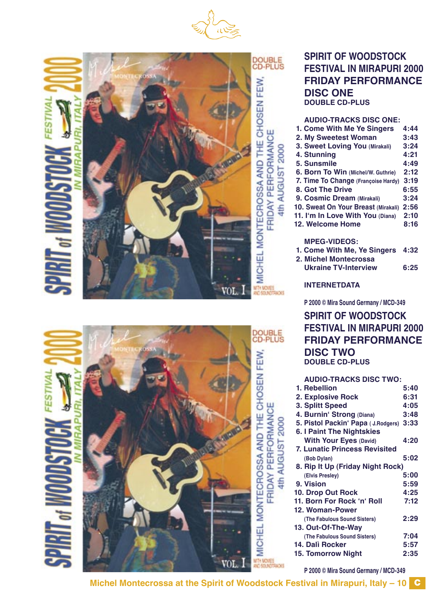





DOUBLE<br>CD-PLUS MICHEL MONTECROSSA AND THE CHOSEN FEW FRIDAY PERFORMANCE AUGUST 2000  $\frac{1}{4}$ 

# **SPIRIT OF WOODSTOCK FESTIVAL IN MIRAPURI 2000 FRIDAY PERFORMANCE DISC ONE DOUBLE CD-PLUS**

#### **AUDIO-TRACKS DISC ONE:**

| 1. Come With Me Ye Singers          | 4:44 |
|-------------------------------------|------|
| 2. My Sweetest Woman                | 3:43 |
| 3. Sweet Loving You (Mirakali)      | 3:24 |
| 4. Stunning                         | 4:21 |
| 5. Sunsmile                         | 4:49 |
| 6. Born To Win (Michel/W. Guthrie)  | 2:12 |
| 7. Time To Change (Françoise Hardy) | 3:19 |
| 8. Got The Drive                    | 6:55 |
| 9. Cosmic Dream (Mirakali)          | 3:24 |
| 10. Sweat On Your Breast (Mirakali) | 2:56 |
| 11. I'm In Love With You (Diana)    | 2:10 |
| 12. Welcome Home                    | 8:16 |
| <b>MPEG-VIDEOS:</b>                 |      |
| 1. Come With Me, Ye Singers         | 4:32 |
| 2. Michel Montecrossa               |      |

| 2. Michel Montecrossa       |      |
|-----------------------------|------|
| <b>Ukraine TV-Interview</b> | 6:25 |

**INTERNETDATA**

**P 2000 © Mira Sound Germany / MCD-349**

# **SPIRIT OF WOODSTOCK FESTIVAL IN MIRAPURI 2000 FRIDAY PERFORMANCE DISC TWO DOUBLE CD-PLUS**

#### **AUDIO-TRACKS DISC TWO: 1. Rebellion** 5:40<br>**2. Explosive Rock** 6:31  **2. Explosive Rock 6:31 1. Splitt Speed 4:05**<br>**4. Burnin' Strong (Diana) 3:48 4. Burninʻ Strong (Diana) 3:48 5. Pistol Packinʻ Papa ( J.Rodgers) 3:33 6. I Paint The Nightskies With Your Eyes (David) 4:20 7. Lunatic Princess Revisited (Bob Dylan) 5:02 8. Rip It Up (Friday Night Rock) (Elvis Presley) 5:00 9. Vision 5:59 10. Drop Out Rock 11. Born For Rock ʻnʻ Roll 7:12 12. Woman-Power (The Fabulous Sound Sisters) 2:29 13. Out-Of-The-Way (The Fabulous Sound Sisters) 7:04 14. Dalì Rocker 5:57 15. Tomorrow Night**

**P 2000 © Mira Sound Germany / MCD-349**

AUGUST 2000

 $\frac{1}{2}$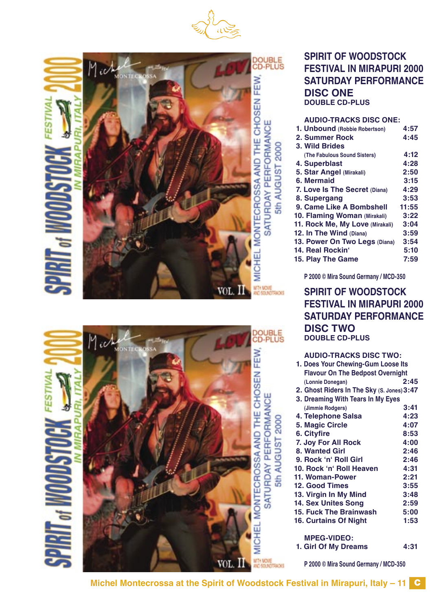





#### **AUDIO-TRACKS DISC ONE:**

| 1. Unbound (Robbie Robertson)   | 4:57  |
|---------------------------------|-------|
| 2. Summer Rock                  | 4:45  |
| 3. Wild Brides                  |       |
| (The Fabulous Sound Sisters)    | 4:12  |
| 4. Superblast                   | 4:28  |
| 5. Star Angel (Mirakali)        | 2:50  |
| 6. Mermaid                      | 3:15  |
| 7. Love Is The Secret (Diana)   | 4:29  |
| 8. Supergang                    | 3:53  |
| 9. Came Like A Bombshell        | 11:55 |
| 10. Flaming Woman (Mirakali)    | 3:22  |
| 11. Rock Me, My Love (Mirakali) | 3:04  |
| 12. In The Wind (Diana)         | 3:59  |
| 13. Power On Two Legs (Diana)   | 3:54  |
| 14. Real Rockin'                | 5:10  |
| 15. Play The Game               | 7:59  |
|                                 |       |

**P 2000 © Mira Sound Germany / MCD-350**

# **SPIRIT OF WOODSTOCK FESTIVAL IN MIRAPURI 2000 SATURDAY PERFORMANCE DISC TWO**

#### **DOUBLE CD-PLUS AUDIO-TRACKS DISC TWO: 1. Does Your Chewing-Gum Loose Its Flavour On The Bedpost Overnight (Lonnie Donegan) 2:45 2. Ghost Riders In The Sky (S. Jones)3:47 3. Dreaming With Tears In My Eyes (Jimmie Rodgers) 3:41 4. Telephone Salsa 4:23 5. Magic Circle 4:07 6. Cityfire 8:53 7. Joy For All Rock 4:00 8. Wanted Girl 2:46 9. Rock ʻnʻ Roll Girl 2:46 10. Rock ʻnʻ Roll Heaven 4:31 11. Woman-Power 12. Good Times 3:55 13. Virgin In My Mind 3:48 14. Sex Unites Song 2:59 15. Fuck The Brainwash 5:00 16. Curtains Of Night MPEG-VIDEO:**

 **1. Girl Of My Dreams 4:31**

**P 2000 © Mira Sound Germany / MCD-350**



MICHEL MONTECROSSA AND THE CHOSEN FEW. SATURDAY PERFORMANCE AUGUST 2000  $\frac{1}{50}$ 

DOUBLE<br>CD-PLUS

5th AUGUST 2000

**Michel Montecrossa at the Spirit of Woodstock Festival in Mirapuri, Italy – 11** C

VOL.

WTH MOVE<br>AND SOUND TRADKS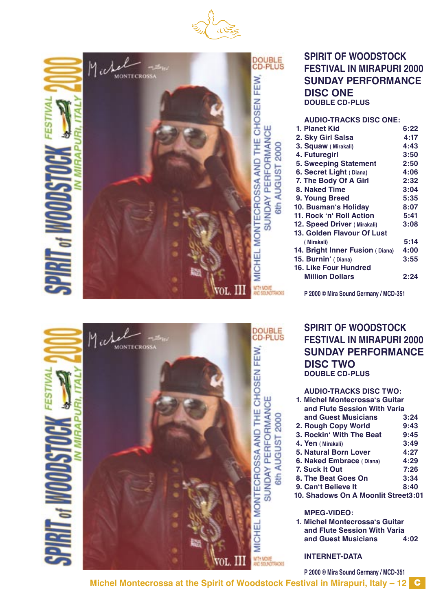



# **SPIRIT OF WOODSTOCK FESTIVAL IN MIRAPURI 2000 SUNDAY PERFORMANCE DISC ONE DOUBLE CD-PLUS**

#### **AUDIO-TRACKS DISC ONE:**

| 1. Planet Kid                   | 6:22 |
|---------------------------------|------|
| 2. Sky Girl Salsa               | 4:17 |
| 3. Squaw (Mirakali)             | 4:43 |
| 4. Futuregirl                   | 3:50 |
| <b>5. Sweeping Statement</b>    | 2:50 |
| 6. Secret Light (Diana)         | 4:06 |
| 7. The Body Of A Girl           | 2:32 |
| 8. Naked Time                   | 3:04 |
| 9. Young Breed                  | 5:35 |
| 10. Busman's Holiday            | 8:07 |
| 11. Rock 'n' Roll Action        | 5:41 |
| 12. Speed Driver (Mirakali)     | 3:08 |
| 13. Golden Flavour Of Lust      |      |
| (Mirakali)                      | 5:14 |
| 14. Bright Inner Fusion (Diana) | 4:00 |
| 15. Burnin' (Diana)             | 3:55 |
| <b>16. Like Four Hundred</b>    |      |
| <b>Million Dollars</b>          | 2:24 |
|                                 |      |

**P 2000 © Mira Sound Germany / MCD-351**

# **SPIRIT OF WOODSTOCK FESTIVAL IN MIRAPURI 2000 SUNDAY PERFORMANCE DISC TWO DOUBLE CD-PLUS**

| <b>AUDIO-TRACKS DISC TWO:</b>       |      |
|-------------------------------------|------|
| 1. Michel Montecrossa's Guitar      |      |
| and Flute Session With Varia        |      |
| and Guest Musicians                 | 3:24 |
| 2. Rough Copy World                 | 9:43 |
| 3. Rockin' With The Beat            | 9:45 |
| 4. Yen (Mirakali)                   | 3:49 |
| 5. Natural Born Lover               | 4:27 |
| 6. Naked Embrace (Diana)            | 4:29 |
| 7. Suck It Out                      | 7:26 |
| 8. The Beat Goes On                 | 3:34 |
| 9. Can't Believe It                 | 8:40 |
| 10. Shadows On A Moonlit Street3:01 |      |
| <b>MPEG-VIDEO:</b>                  |      |
|                                     |      |

 **1. Michel Montecrossaʻs Guitar and Flute Session With Varia and Guest Musicians 4:02**

**INTERNET-DATA**

**P 2000 © Mira Sound Germany / MCD-351**

DOUBLE<br>CD-PLUS Mich afan. MONTECROSSA MICHEL MONTECROSSA AND THE CHOSEN FEW. SUNDAY PERFORMANCE 6th AUGUST 2000 WTH MOVIE<br>AND SOUNDTRADKS VOL.

ESTIVA

**Michel Montecrossa at the Spirit of Woodstock Festival in Mirapuri, Italy – 12** C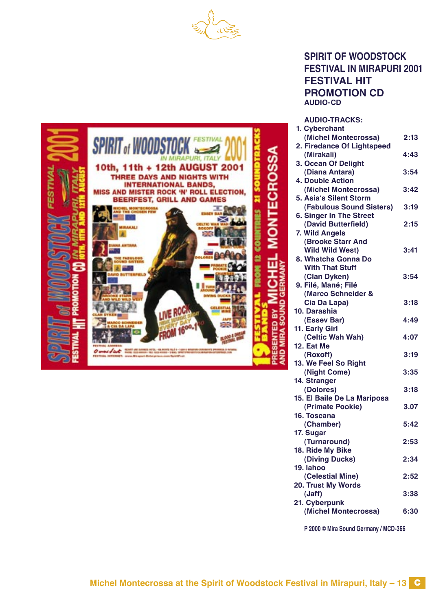



# **SPIRIT OF WOODSTOCK FESTIVAL IN MIRAPURI 2001 FESTIVAL HIT PROMOTION CD AUDIO-CD**

**AUDIO-TRACKS:**

| 1. Cyberchant                  |      |
|--------------------------------|------|
| (Michel Montecrossa)           | 2:13 |
| 2. Firedance Of Lightspeed     |      |
| (Mirakali)                     | 4:43 |
| 3. Ocean Of Delight            |      |
| (Diana Antara)                 | 3:54 |
| 4. Double Action               |      |
| (Michel Montecrossa)           | 3:42 |
| 5. Asia's Silent Storm         |      |
| (Fabulous Sound Sisters)       | 3:19 |
| <b>6. Singer In The Street</b> |      |
| (David Butterfield)            | 2:15 |
| 7. Wild Angels                 |      |
| <b>(Brooke Starr And</b>       |      |
| <b>Wild Wild West)</b>         | 3:41 |
| 8. Whatcha Gonna Do            |      |
| <b>With That Stuff</b>         |      |
| (Clan Dyken)                   | 3:54 |
| 9. Filé, Mané; Filé            |      |
| (Marco Schneider &             |      |
| Cia Da Lapa)                   | 3:18 |
| 10. Darashia                   |      |
| (Essev Bar)                    | 4:49 |
| 11. Early Girl                 |      |
| (Celtic Wah Wah)               | 4:07 |
| 12. Eat Me                     |      |
| (Roxoff)                       | 3:19 |
| 13. We Feel So Right           |      |
| (Night Come)                   | 3:35 |
| 14. Stranger                   |      |
| (Dolores)                      | 3:18 |
| 15. El Baile De La Mariposa    |      |
| (Primate Pookie)               | 3.07 |
| 16. Toscana                    |      |
| (Chamber)                      | 5:42 |
| 17. Sugar                      |      |
| (Turnaround)                   | 2:53 |
| 18. Ride My Bike               | 2:34 |
| (Diving Ducks)<br>19. lahoo    |      |
| (Celestial Mine)               | 2:52 |
| 20. Trust My Words             |      |
| (Jaff)                         | 3:38 |
| 21. Cyberpunk                  |      |
| (Michel Montecrossa)           | 6:30 |
|                                |      |

**P 2000 © Mira Sound Germany / MCD-366**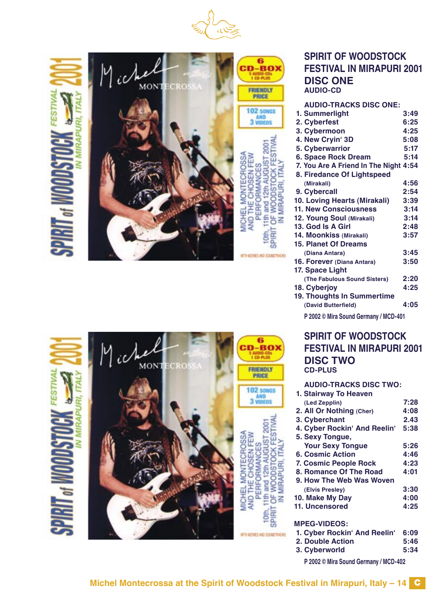

**STOCK FI** 

**SPIRI** 

MIRAPURI. IT.



|                          | MONTECRO | 6<br>AUDIO-CDs<br>1 CD-PLUS<br>FRIENDLY<br>PRICE                                                              |
|--------------------------|----------|---------------------------------------------------------------------------------------------------------------|
|                          |          | <b>102 SONGS</b><br>3 VIDEOS                                                                                  |
| <b>PIRIT of WOODSTOC</b> |          | <b>TECROSSA</b><br><b>JEN FEW</b><br>က္က<br>ξ<br>MICHEL MC<br>AND THE C<br>PERF<br>Ş<br>z<br><b>SPIR</b><br>ē |

# **SPIRIT OF WOODSTOCK FESTIVAL IN MIRAPURI 2001 DISC ONE AUDIO-CD**

| <b>AUDIO-TRACKS DISC ONE:</b>         |      |
|---------------------------------------|------|
| 1. Summerlight                        | 3:49 |
| 2. Cyberfest                          | 6:25 |
| 3. Cybermoon                          | 4:25 |
| 4. New Cryin' 3D                      | 5:08 |
| 5. Cyberwarrior                       | 5:17 |
| <b>6. Space Rock Dream</b>            | 5:14 |
| 7. You Are A Friend In The Night 4:54 |      |
| 8. Firedance Of Lightspeed            |      |
| (Mirakali)                            | 4:56 |
| 9. Cybercall                          | 2:54 |
| 10. Loving Hearts (Mirakali)          | 3:39 |
| <b>11. New Consciousness</b>          | 3:14 |
| 12. Young Soul (Mirakali)             | 3:14 |
| 13. God Is A Girl                     | 2:48 |
| 14. Moonkiss (Mirakali)               | 3:57 |
| <b>15. Planet Of Dreams</b>           |      |
| (Diana Antara)                        | 3:45 |
| 16. Forever (Diana Antara)            | 3:50 |
| 17. Space Light                       |      |
| (The Fabulous Sound Sisters)          | 2:20 |
| 18. Cyberjoy                          | 4:25 |
| 19. Thoughts In Summertime            |      |
| (David Butterfield)                   | 4:05 |
| P 2002 © Mira Sound Germany / MCD-401 |      |

# **SPIRIT OF WOODSTOCK FESTIVAL IN MIRAPURI 2001 DISC TWO CD-PLUS**

#### **AUDIO-TRACKS DISC TWO:**

| 1. Stairway To Heaven        |      |
|------------------------------|------|
| (Led Zepplin)                | 7:28 |
| 2. All Or Nothing (Cher)     | 4:08 |
| 3. Cyberchant                | 2.43 |
| 4. Cyber Rockin' And Reelin' | 5:38 |
| 5. Sexy Tongue,              |      |
| <b>Your Sexy Tongue</b>      | 5:26 |
| 6. Cosmic Action             | 4:46 |
| 7. Cosmic People Rock        | 4:23 |
| 8. Romance Of The Road       | 4:01 |
| 9. How The Web Was Woven     |      |
| (Elvis Presley)              | 3:30 |
| 10. Make My Day              | 4:00 |
| 11. Uncensored               | 4:25 |
|                              |      |
| <b>MPEG-VIDEOS:</b>          |      |
| 1. Cyber Rockin' And Reelin' | 6:09 |
| 2. Double Action             | 5:46 |

 **3. Cyberworld 5:34**

**P 2002 © Mira Sound Germany / MCD-402**

WITH MOVIES AND SOUNDTRACKS.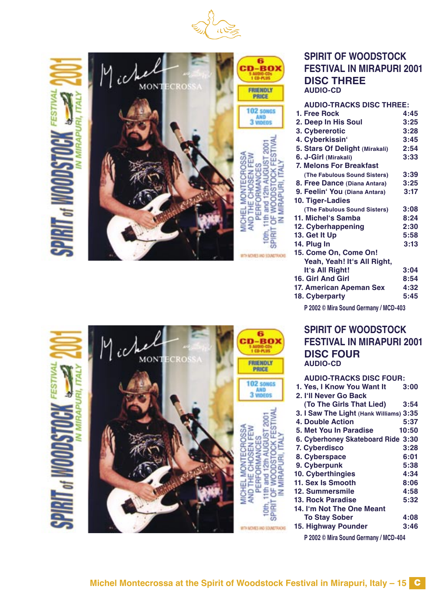

STOCK FE

Щ z

SPIRI

6 BO) **0-PL1H JENDLY** 

11th and 12th AUGUST 2001

**Cith** ∝ **GBI** 

WITH MOVIES AND SOUND FACKS.

**STOCK** 

WOOD. MIRAPI

b<br>O z

MIRAPURI.ITA **NOOD** 



# **SPIRIT OF WOODSTOCK FESTIVAL IN MIRAPURI 2001 DISC THREE AUDIO-CD**

#### **AUDIO-TRACKS DISC THREE:**

| 1. Free Rock                          | 4:45 |
|---------------------------------------|------|
| 2. Deep In His Soul                   | 3:25 |
| 3. Cybererotic                        | 3:28 |
| 4. Cyberkissin'                       | 3:45 |
| 5. Stars Of Delight (Mirakali)        | 2:54 |
| 6. J-Girl (Mirakali)                  | 3:33 |
| 7. Melons For Breakfast               |      |
| (The Fabulous Sound Sisters)          | 3:39 |
| 8. Free Dance (Diana Antara)          | 3:25 |
| 9. Feelin' You (Diana Antara)         | 3:17 |
| 10. Tiger-Ladies                      |      |
| (The Fabulous Sound Sisters)          | 3:08 |
| 11. Michel's Samba                    | 8:24 |
| 12. Cyberhappening                    | 2:30 |
| 13. Get It Up                         | 5:58 |
| 14. Plug In                           | 3:13 |
| 15. Come On, Come On!                 |      |
| Yeah, Yeah! It's All Right,           |      |
| It's All Right!                       | 3:04 |
| 16. Girl And Girl                     | 8:54 |
| 17. American Apeman Sex               | 4:32 |
| 18. Cyberparty                        | 5:45 |
| P 2002 © Mira Sound Germany / MCD-403 |      |

**SPIRIT OF WOODSTOCK FESTIVAL IN MIRAPURI 2001 DISC FOUR**

**AUDIO-CD**

**AUDIO-TRACKS DISC FOUR: 1. Yes. I Know You Want It 2. Iʻll Never Go Back (To The Girls That Lied) 3:54 3. I Saw The Light (Hank Williams) 3:35 4. Double Action 5:37 5. Met You In Paradise 6. Cyberhoney Skateboard Ride 3:30 7. Cyberdisco 3:28 8. Cyberspace 6:01 9. Cyberpunk 5:38 10. Cyberthingies 4:34 11. Sex Is Smooth 8:06 12. Summersmile 4:58 13. Rock Paradise 14. Iʻm Not The One Meant To Stay Sober 4:08 15. Highway Pounder** 

**P 2002 © Mira Sound Germany / MCD-404**

|                    | ß<br><b>CD-PLUS</b>                                                          |
|--------------------|------------------------------------------------------------------------------|
| <b>MONTECROSSA</b> | FRIENDLY<br><b>PRICE</b>                                                     |
|                    | <b>102 SONGS</b><br>3 VIDEOS                                                 |
|                    | ġ<br><b>DCK FFST</b><br>HEL MONTECROSSA<br>JGUS<br>œ<br>th and 12th<br>PERFC |



ş **CHECK**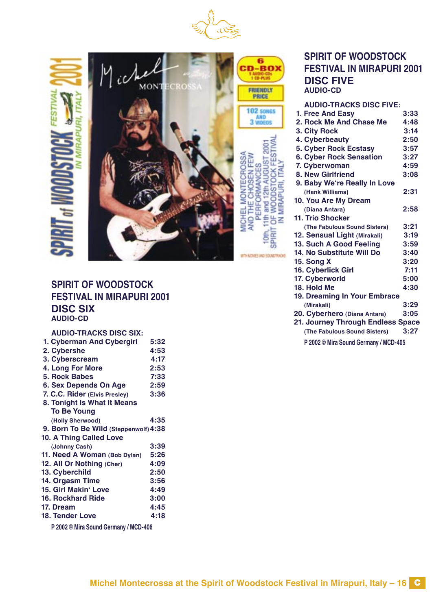

 $\prod_{\alpha\in\mathbb{N}}$ 



#### **SPIRIT OF WOODSTOCK FESTIVAL IN MIRAPURI 2001 DISC FIVE AUDIO-CD**

| <b>AUDIO-TRACKS DISC FIVE:</b>    |      |
|-----------------------------------|------|
| 1. Free And Easy                  | 3:33 |
| 2. Rock Me And Chase Me           | 4:48 |
| 3. City Rock                      | 3:14 |
| 4. Cyberbeauty                    | 2:50 |
| 5. Cyber Rock Ecstasy             | 3:57 |
| <b>6. Cyber Rock Sensation</b>    | 3:27 |
| 7. Cyberwoman                     | 4:59 |
| 8. New Girlfriend                 | 3:08 |
| 9. Baby We're Really In Love      |      |
| (Hank Williams)                   | 2:31 |
| 10. You Are My Dream              |      |
| (Diana Antara)                    | 2:58 |
| 11. Trio Shocker                  |      |
| (The Fabulous Sound Sisters)      | 3:21 |
| 12. Sensual Light (Mirakali)      | 3:19 |
| 13. Such A Good Feeling           | 3:59 |
| 14. No Substitute Will Do         | 3:40 |
| <b>15. Song X</b>                 | 3:20 |
| 16. Cyberlick Girl                | 7:11 |
| 17. Cyberworld                    | 5:00 |
| 18. Hold Me                       | 4:30 |
| 19. Dreaming In Your Embrace      |      |
| (Mirakali)                        | 3:29 |
| 20. Cyberhero (Diana Antara)      | 3:05 |
| 21. Journey Through Endless Space |      |
| (The Fabulous Sound Sisters)      | 3:27 |

**P 2002 © Mira Sound Germany / MCD-405**

#### **SPIRIT OF WOODSTOCK FESTIVAL IN MIRAPURI 2001 DISC SIX AUDIO-CD**

#### **AUDIO-TRACKS DISC SIX:**

| 1. Cyberman And Cybergirl             | 5:32 |
|---------------------------------------|------|
| 2. Cybershe                           | 4:53 |
| 3. Cyberscream                        | 4:17 |
| 4. Long For More                      | 2:53 |
| 5. Rock Babes                         | 7:33 |
| 6. Sex Depends On Age                 | 2:59 |
| 7. C.C. Rider (Elvis Presley)         | 3:36 |
| 8. Tonight Is What It Means           |      |
| <b>To Be Young</b>                    |      |
| (Holly Sherwood)                      | 4:35 |
| 9. Born To Be Wild (Steppenwolf) 4:38 |      |
| 10. A Thing Called Love               |      |
| (Johnny Cash)                         | 3:39 |
| 11. Need A Woman (Bob Dylan)          | 5:26 |
| 12. All Or Nothing (Cher)             | 4:09 |
| 13. Cyberchild                        | 2:50 |
| 14. Orgasm Time                       | 3:56 |
| <b>15. Girl Makin' Love</b>           | 4:49 |
| <b>16. Rockhard Ride</b>              | 3:00 |
| 17. Dream                             | 4:45 |
| <b>18. Tender Love</b>                | 4:18 |
|                                       |      |

**P 2002 © Mira Sound Germany / MCD-406**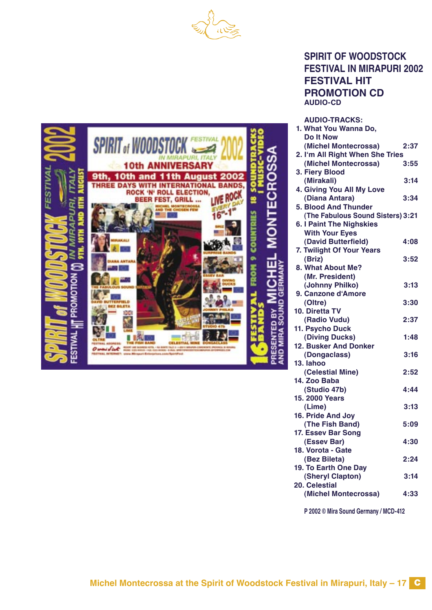



#### **SPIRIT OF WOODSTOCK FESTIVAL IN MIRAPURI 2002 FESTIVAL HIT PROMOTION CD AUDIO-CD**

**AUDIO-TRACKS:**

| 1. What You Wanna Do,             |      |
|-----------------------------------|------|
| <b>Do It Now</b>                  |      |
| (Michel Montecrossa)              | 2:37 |
| 2. I'm All Right When She Tries   |      |
| (Michel Montecrossa)              | 3:55 |
| 3. Fiery Blood                    |      |
| (Mirakali)                        | 3:14 |
| 4. Giving You All My Love         |      |
| (Diana Antara)                    | 3:34 |
| <b>5. Blood And Thunder</b>       |      |
| (The Fabulous Sound Sisters) 3:21 |      |
| <b>6. I Paint The Nighskies</b>   |      |
| <b>With Your Eyes</b>             |      |
| (David Butterfield)               | 4:08 |
| 7. Twilight Of Your Years         |      |
| (Briz)                            | 3:52 |
| 8. What About Me?                 |      |
| (Mr. President)                   |      |
| (Johnny Philko)                   | 3:13 |
| 9. Canzone d'Amore                |      |
| (Oltre)                           | 3:30 |
| 10. Diretta TV                    |      |
| (Radio Vudu)                      | 2:37 |
| 11. Psycho Duck                   |      |
| (Diving Ducks)                    | 1:48 |
| 12. Busker And Donker             |      |
| (Dongaclass)                      | 3:16 |
| 13. lahoo                         |      |
| (Celestial Mine)                  | 2:52 |
| 14. Zoo Baba                      |      |
| (Studio 47b)                      | 4:44 |
| 15. 2000 Years                    |      |
| (Lime)                            | 3:13 |
| 16. Pride And Joy                 |      |
| (The Fish Band)                   | 5:09 |
| 17. Essev Bar Song                |      |
| (Essev Bar)                       | 4:30 |
| 18. Vorota - Gate                 |      |
| (Bez Bileta)                      | 2:24 |
| 19. To Earth One Day              |      |
| (Sheryl Clapton)                  | 3:14 |
| 20. Celestial                     |      |
| (Michel Montecrossa)              | 4:33 |

**P 2002 © Mira Sound Germany / MCD-412**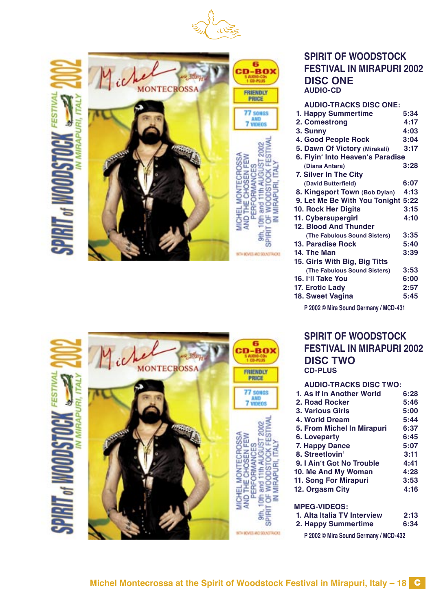



| <b>SPIRIT OF WOODSTOCK</b>       |
|----------------------------------|
| <b>FESTIVAL IN MIRAPURI 2002</b> |
| <b>DISC ONE</b>                  |
| <b>AUDIO-CD</b>                  |

| <b>AUDIO-TRACKS DISC ONE:</b>         |      |
|---------------------------------------|------|
| 1. Happy Summertime                   | 5:34 |
| 2. Comestrong                         | 4:17 |
| 3. Sunny                              | 4:03 |
| 4. Good People Rock                   | 3:04 |
| 5. Dawn Of Victory (Mirakali)         | 3:17 |
| 6. Flyin' Into Heaven's Paradise      |      |
| (Diana Antara)                        | 3:28 |
| 7. Silver In The City                 |      |
| (David Butterfield)                   | 6:07 |
| 8. Kingsport Town (Bob Dylan)         | 4:13 |
| 9. Let Me Be With You Tonight 5:22    |      |
| 10. Rock Her Digits                   | 3:15 |
| 11. Cybersupergirl                    | 4:10 |
| 12. Blood And Thunder                 |      |
| (The Fabulous Sound Sisters)          | 3:35 |
| 13. Paradise Rock                     | 5:40 |
| 14. The Man                           | 3:39 |
| 15. Girls With Big, Big Titts         |      |
| (The Fabulous Sound Sisters)          | 3:53 |
| 16. I'll Take You                     | 6:00 |
| 17. Erotic Lady                       | 2:57 |
| 18. Sweet Vagina                      | 5:45 |
| P 2002 © Mira Sound Germany / MCD-431 |      |

IN MIRAPURI, ITALY

**SPIRIT** 

**SPIRIT OF WOODSTOCK FESTIVAL IN MIRAPURI 2002 DISC TWO CD-PLUS**

#### **AUDIO-TRACKS DISC TWO:**

| 1. As If In Another World  | 6:28 |
|----------------------------|------|
| 2. Road Rocker             | 5:46 |
| 3. Various Girls           | 5:00 |
| 4. World Dream             | 5:44 |
| 5. From Michel In Mirapuri | 6:37 |
| 6. Loveparty               | 6:45 |
| 7. Happy Dance             | 5:07 |
| 8. Streetlovin'            | 3:11 |
| 9. I Ain't Got No Trouble  | 4:41 |
| 10. Me And My Woman        | 4:28 |
| 11. Song For Mirapuri      | 3:53 |
| 12. Orgasm City            | 4:16 |
|                            |      |
|                            |      |

#### **MPEG-VIDEOS:**

- 
- **1. Alta Italia TV Interview 2:13 2. Happy Summertime 6:34**

**P 2002 © Mira Sound Germany / MCD-432**



OF WOODSTOCK F<br>IN MIRAPURI, ITALY

**SPIRIT**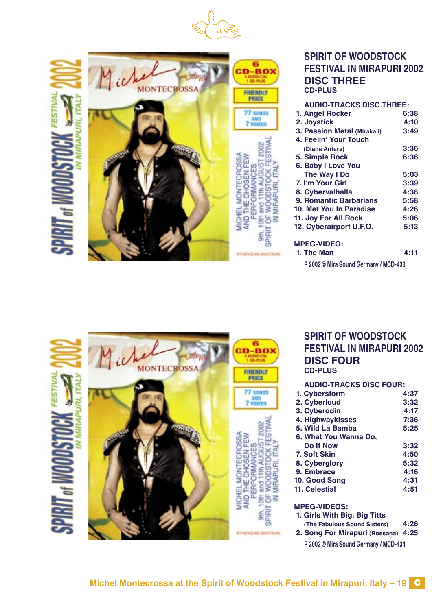



| <b>DISC THREE</b>               |      |
|---------------------------------|------|
| <b>CD-PLUS</b>                  |      |
| <b>AUDIO-TRACKS DISC THREE:</b> |      |
| 1. Angel Rocker                 | 6:38 |
| 2. Joystick                     | 4:10 |
| 3. Passion Metal (Mirakali)     | 3:49 |
| 4. Feelin' Your Touch           |      |
| (Diana Antara)                  | 3:36 |
| 5. Simple Rock                  | 6:36 |
| 6. Baby I Love You              |      |
| The Way I Do                    | 5:03 |
| 7. I'm Your Girl                | 3:39 |
| 8. Cybervalhalla                | 4:38 |
| 9. Romantic Barbarians          | 5:58 |
| 10. Met You In Paradise         | 4:26 |
| 11. Joy For All Rock            | 5:06 |
| 12. Cyberairport U.F.O.         | 5:13 |
|                                 |      |
| <b>MPEG-VIDEO:</b>              |      |
| 1. The Man                      | 4:11 |

# **SPIRIT OF WOODSTOCK FESTIVAL IN MIRAPURI 2002 HREE**

| 1. The Man                            | 4:11 |
|---------------------------------------|------|
| P 2002 © Mira Sound Germany / MCD-433 |      |





#### **SPIRIT OF WOODSTOCK FESTIVAL IN MIRAPURI 2002 DISC FOUR CD-PLUS**

#### **AUDIO-TRACKS DISC FOUR:**

| 1. Cyberstorm         | 4:37 |
|-----------------------|------|
| 2. Cyberloud          | 3:32 |
| 3. Cyberodin          | 4:17 |
| 4. Highwaykisses      | 7:36 |
| 5. Wild La Bamba      | 5:25 |
| 6. What You Wanna Do. |      |
| Do It Now             | 3:32 |
| 7. Soft Skin          | 4:50 |
| 8. Cyberglory         | 5:32 |
| 9. Embrace            | 4:16 |
| 10. Good Song         | 4:31 |
| 11. Celestial         | 4:51 |
|                       |      |

#### **MPEG-VIDEOS:**

- **1. Girls With Big, Big Titts**
- **(The Fabulous Sound Sisters) 4:26**
- **2. Song For Mirapuri (Rossana) 4:25**
	- **P 2002 © Mira Sound Germany / MCD-434**

OF WOODSTOCK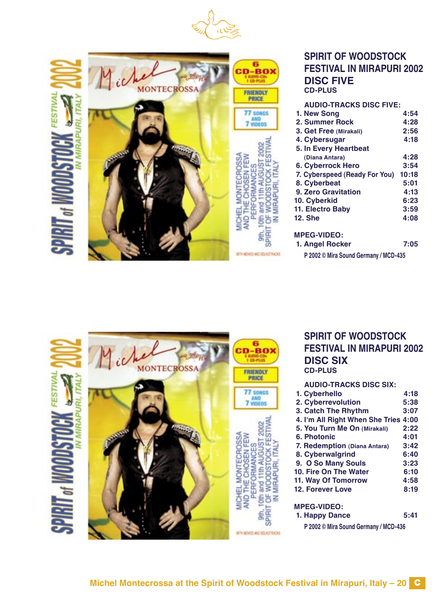



|      | <b>DISC FIV</b>         |
|------|-------------------------|
|      | <b>CD-PLUS</b>          |
|      |                         |
|      | <b>AUDIO-TRA</b>        |
|      | 1. New Song             |
| nens | 2. Summer Ro            |
|      | 3. Get Free (Mi         |
|      | 4. Cybersugar           |
|      | 5. In Every Hea         |
|      | (Diana Antara)          |
|      | 6. Cyberrock <b>F</b>   |
|      | 7. Cyberspeed (         |
|      | 8. Cyberbeat            |
|      | 9. Zero Gravita         |
|      | 10. Cyberkid            |
|      | 11. Electro Bab         |
|      | <b>12. She</b>          |
|      |                         |
|      | <b>MPEG-VIDEO:</b>      |
|      | 1. Angel Rock           |
|      |                         |
|      | <b>P 2002 © Mira So</b> |



| <b>AUDIO-TRACKS DISC FIVE:</b> |       |
|--------------------------------|-------|
| 1. New Song                    | 4:54  |
| 2. Summer Rock                 | 4:28  |
| 3. Get Free (Mirakali)         | 2:56  |
| 4. Cybersugar                  | 4:18  |
| 5. In Every Heartbeat          |       |
| (Diana Antara)                 | 4:28  |
| <b>6. Cyberrock Hero</b>       | 3:54  |
| 7. Cyberspeed (Ready For You)  | 10:18 |
| 8. Cyberbeat                   | 5:01  |
| 9. Zero Gravitation            | 4:13  |
| 10. Cyberkid                   | 6:23  |
| 11. Electro Baby               | 3:59  |
| <b>12. She</b>                 | 4:08  |
| <b>MPEG-VIDEO:</b>             |       |

- **1. Angel Rocker 7:05**
	- **P 2002 © Mira Sound Germany / MCD-435**





| LV<br>E                                 |  |
|-----------------------------------------|--|
| OS.                                     |  |
| ū<br>Ę<br>i<br>CSE<br>٦<br>۵<br>c<br>cn |  |

#### **SPIRIT OF WOODSTOCK FESTIVAL IN MIRAPURI 2002 DISC SIX CD-PLUS**

**AUDIO-TRACKS DISC SIX:**

| 1. Cyberhello                        | 4:18 |
|--------------------------------------|------|
| 2. Cyberrevolution                   | 5:38 |
| 3. Catch The Rhythm                  | 3:07 |
| 4. I'm All Right When She Tries 4:00 |      |
| 5. You Turn Me On (Mirakali)         | 2:22 |
| 6. Photonic                          | 4:01 |
| 7. Redemption (Diana Antara)         | 3:42 |
| 8. Cyberwalgrind                     | 6:40 |
| 9. O So Many Souls                   | 3:23 |
| 10. Fire On The Water                | 6:10 |
| 11. Way Of Tomorrow                  | 4:58 |
| <b>12. Forever Love</b>              | 8:19 |
|                                      |      |
|                                      |      |

#### **MPEG-VIDEO:**

 **1. Happy Dance 5:41**

**P 2002 © Mira Sound Germany / MCD-436**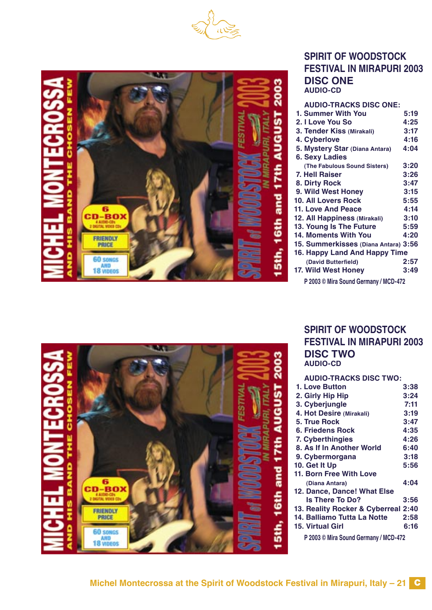



#### **SPIRIT OF WOODSTOCK FESTIVAL IN MIRAPURI 2003 DISC ONE AUDIO-CD**

| <b>AUDIO-TRACKS DISC ONE:</b>         |      |
|---------------------------------------|------|
| 1. Summer With You                    | 5:19 |
| 2. I Love You So                      | 4:25 |
| 3. Tender Kiss (Mirakali)             | 3:17 |
| 4. Cyberlove                          | 4:16 |
| 5. Mystery Star (Diana Antara)        | 4:04 |
| <b>6. Sexy Ladies</b>                 |      |
| (The Fabulous Sound Sisters)          | 3:20 |
| 7. Hell Raiser                        | 3:26 |
| 8. Dirty Rock                         | 3:47 |
| 9. Wild West Honey                    | 3:15 |
| <b>10. All Lovers Rock</b>            | 5:55 |
| 11. Love And Peace                    | 4:14 |
| 12. All Happiness (Mirakali)          | 3:10 |
| 13. Young Is The Future               | 5:59 |
| <b>14. Moments With You</b>           | 4:20 |
| 15. Summerkisses (Diana Antara) 3:56  |      |
| 16. Happy Land And Happy Time         |      |
| (David Butterfield)                   | 2:57 |
| 17. Wild West Honey                   | 3:49 |
| P 2003 © Mira Sound Germany / MCD-472 |      |



#### **SPIRIT OF WOODSTOCK FESTIVAL IN MIRAPURI 2003 DISC TWO AUDIO-CD**

#### **AUDIO-TRACKS DISC TWO: 1. Love Button 3:38 2. Girly Hip Hip 3:24 3. Cyberjungle 7:11 4. Hot Desire (Mirakali) 3:19 5. True Rock 3:47 6. Friedens Rock 4:35 7. Cyberthingies 4:26 8. As If In Another World 6:40 9. Cybermorgana 3:18 10. Get It Up 11. Born Free With Love (Diana Antara) 4:04 12. Dance, Dance! What Else Is There To Do? 3:56 13. Reality Rocker & Cyberreal 2:40 14. Balliamo Tutta La Notte 2:58 15. Virtual Girl P 2003 © Mira Sound Germany / MCD-472**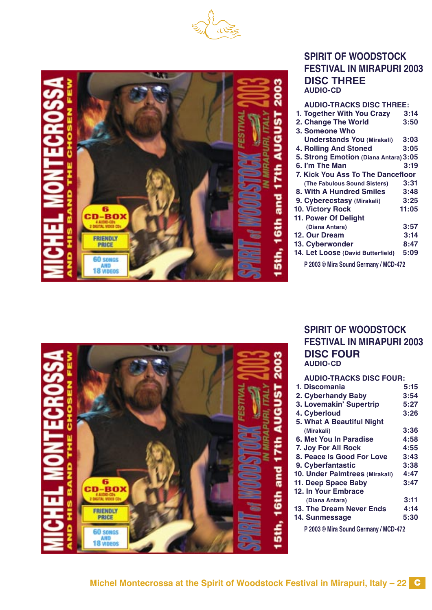





| <b>AUDIO-TRACKS DISC THREE:</b>       |       |
|---------------------------------------|-------|
| 1. Together With You Crazy            | 3:14  |
| 2. Change The World                   | 3:50  |
| 3. Someone Who                        |       |
| <b>Understands You (Mirakali)</b>     | 3:03  |
| <b>4. Rolling And Stoned</b>          | 3:05  |
| 5. Strong Emotion (Diana Antara) 3:05 |       |
| 6. I'm The Man                        | 3:19  |
| 7. Kick You Ass To The Dancefloor     |       |
| (The Fabulous Sound Sisters)          | 3:31  |
| 8. With A Hundred Smiles              | 3:48  |
| 9. Cyberecstasy (Mirakali)            | 3:25  |
| 10. Victory Rock                      | 11:05 |
| 11. Power Of Delight                  |       |
| (Diana Antara)                        | 3:57  |
| 12. Our Dream                         | 3:14  |
| 13. Cyberwonder                       | 8:47  |
| 14. Let Loose (David Butterfield)     | 5:09  |
| P 2003 © Mira Sound Germany / MCD-472 |       |



#### **SPIRIT OF WOODSTOCK FESTIVAL IN MIRAPURI 2003 DISC FOUR AUDIO-CD**

| <b>AUDIO-TRACKS DISC FOUR:</b> |      |
|--------------------------------|------|
| 1. Discomania                  | 5:15 |
| 2. Cyberhandy Baby             | 3:54 |
| 3. Lovemakin' Supertrip        | 5:27 |
| 4. Cyberloud                   | 3:26 |
| 5. What A Beautiful Night      |      |
| (Mirakali)                     | 3:36 |
| 6. Met You In Paradise         | 4:58 |
| 7. Joy For All Rock            | 4:55 |
| 8. Peace Is Good For Love      | 3:43 |
| 9. Cyberfantastic              | 3:38 |
| 10. Under Palmtrees (Mirakali) | 4:47 |
| 11. Deep Space Baby            | 3:47 |
| 12. In Your Embrace            |      |
| (Diana Antara)                 | 3:11 |
| 13. The Dream Never Ends       | 4:14 |
| 14. Sunmessage                 | 5:30 |
|                                |      |